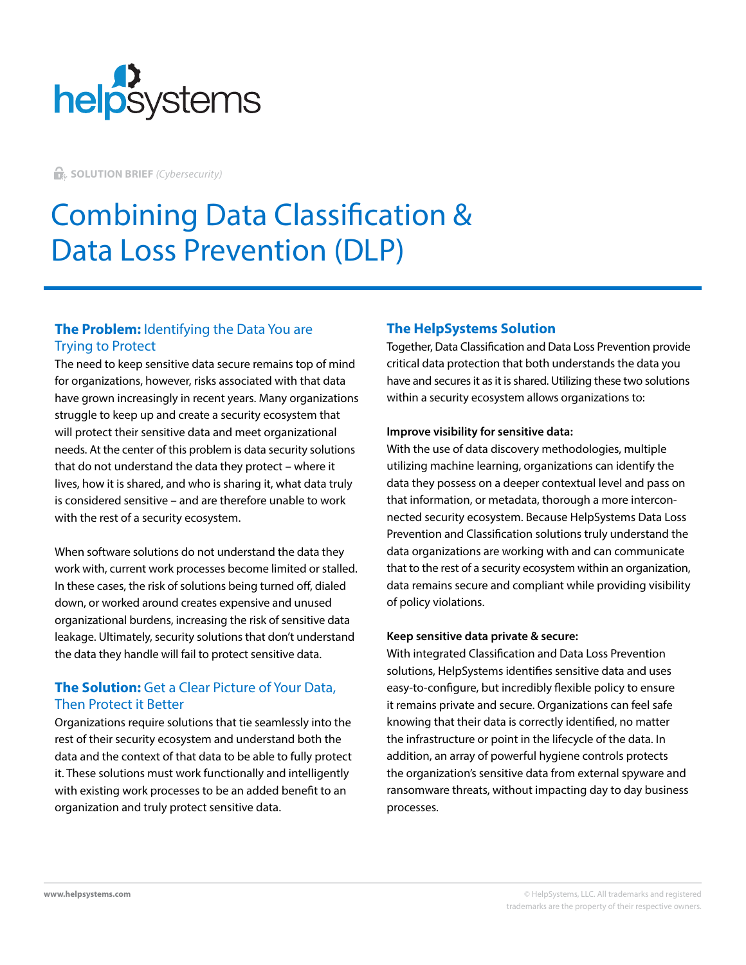

**G.** SOLUTION BRIEF *(Cybersecurity)* 

# Combining Data Classification & Data Loss Prevention (DLP)

## **The Problem:** Identifying the Data You are Trying to Protect

The need to keep sensitive data secure remains top of mind for organizations, however, risks associated with that data have grown increasingly in recent years. Many organizations struggle to keep up and create a security ecosystem that will protect their sensitive data and meet organizational needs. At the center of this problem is data security solutions that do not understand the data they protect – where it lives, how it is shared, and who is sharing it, what data truly is considered sensitive – and are therefore unable to work with the rest of a security ecosystem.

When software solutions do not understand the data they work with, current work processes become limited or stalled. In these cases, the risk of solutions being turned off, dialed down, or worked around creates expensive and unused organizational burdens, increasing the risk of sensitive data leakage. Ultimately, security solutions that don't understand the data they handle will fail to protect sensitive data.

## **The Solution:** Get a Clear Picture of Your Data, Then Protect it Better

Organizations require solutions that tie seamlessly into the rest of their security ecosystem and understand both the data and the context of that data to be able to fully protect it. These solutions must work functionally and intelligently with existing work processes to be an added benefit to an organization and truly protect sensitive data.

## **The HelpSystems Solution**

Together, Data Classification and Data Loss Prevention provide critical data protection that both understands the data you have and secures it as it is shared. Utilizing these two solutions within a security ecosystem allows organizations to:

## **Improve visibility for sensitive data:**

With the use of data discovery methodologies, multiple utilizing machine learning, organizations can identify the data they possess on a deeper contextual level and pass on that information, or metadata, thorough a more interconnected security ecosystem. Because HelpSystems Data Loss Prevention and Classification solutions truly understand the data organizations are working with and can communicate that to the rest of a security ecosystem within an organization, data remains secure and compliant while providing visibility of policy violations.

## **Keep sensitive data private & secure:**

With integrated Classification and Data Loss Prevention solutions, HelpSystems identifies sensitive data and uses easy-to-configure, but incredibly flexible policy to ensure it remains private and secure. Organizations can feel safe knowing that their data is correctly identified, no matter the infrastructure or point in the lifecycle of the data. In addition, an array of powerful hygiene controls protects the organization's sensitive data from external spyware and ransomware threats, without impacting day to day business processes.